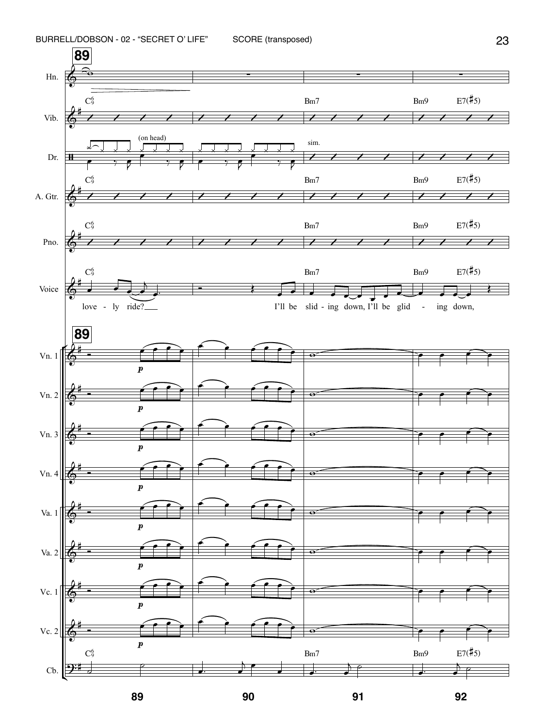